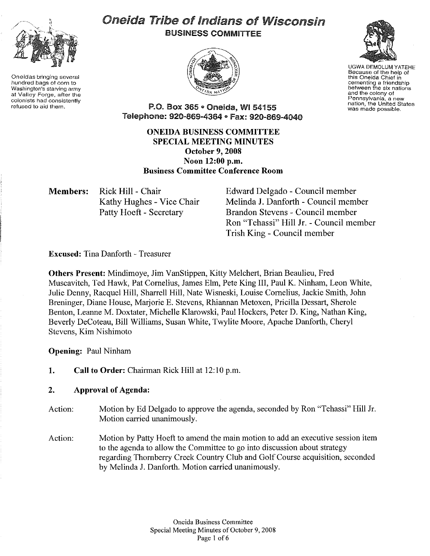

Oneidas bringing several hundred bags of corn to Washington's starving army at Valley Forge, after the colonists had consistently refused to aid them.

# Oneida Tribe of Indians of Wisconsin BUSINESS COMMITTEE





UGWA DEMOLUM YATEHE Because of the help of this Oneida Chief in cementing a friendship<br>between the six nations and the colony of Pennsylvania, a new nation, the United States was made possible.

P.O. Box 365 • Oneida, WI 54155 Telephone: 920-869-4364 • Fax: 920-869-4040

## ONEIDA BUSINESS COMMITTEE SPECIAL MEETING MINUTES October 9, 2008 Noon 12:00 p.m. Business Committee Conference Room

Members: Rick Hill - Chair Kathy Hughes - Vice Chair Patty Hoeft - Secretary

Edward Delgado - Council member Melinda J. Danforth- Council member Brandon Stevens - Council member Ron "Tehassi" Hill Jr. - Council member Trish King - Council member

Excused: Tina Danforth - Treasurer

Others Present: Mindimoye, Jim VanStippen, Kitty Melchert, Brian Beaulieu, Fred Muscavitch, Ted Hawk, Pat Cornelius, James Elm, Pete King III, Paul K. Ninham, Leon White, Julie Denny, Racquel Hill, Sharrell Hill, Nate Wisneski, Louise Cornelius, Jackie Smith, John Breninger, Diane House, Marjorie E. Stevens, Rhiannan Metoxen, Pricilla Dessart, Sherole Benton, Leanne M. Doxtater, Michelle Klarowski, Paul Hockers, Peter D. King, Nathan King, Beverly DeCoteau, Bill Williams, Susan White, Twylite Moore, Apache Danforth, Cheryl Stevens, Kim Nishimoto

Opening: Paul Ninham

1. Call to Order: Chairman Rick Hill at 12:10 p.m.

## 2. Approval of Agenda:

- Action: Motion by Ed Delgado to approve the agenda, seconded by Ron "Tehassi" Hill Jr. Motion carried unanimously.
- Action: Motion by Patty Hoeft to amend the main motion to add an executive session item to the agenda to allow the Committee to go into discussion about strategy regarding Thornberry Creek Conntry Club and Golf Course acquisition, seconded by Melinda J. Danforth. Motion carried unanimously.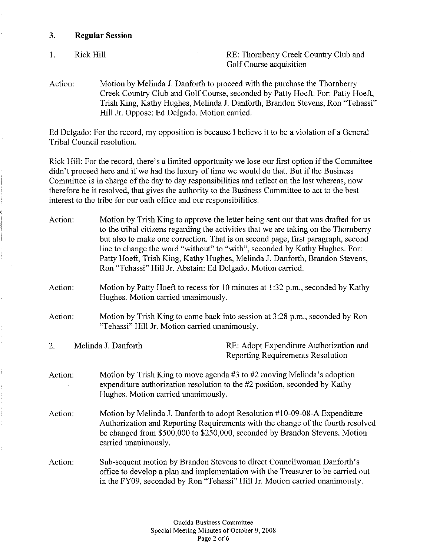### **3. Regular Session**

I.

Rick Hill Rick Hill RE: Thornberry Creek Country Club and Golf Course acquisition

Action: Motion by Melinda J. Danforth to proceed with the purchase the Thornberry Creek Country Club and Golf Course, seconded by Patty Hoeft. For: Patty Hoeft, Trish King, Kathy Hughes, Melinda J. Danforth, Brandon Stevens, Ron "Tehassi" Hill Jr. Oppose: Ed Delgado. Motion carried.

Ed Delgado: For the record, my opposition is because I believe it to be a violation of a General Tribal Council resolution.

Rick Hill: For the record, there's a limited opportunity we lose our first option if the Committee didn't proceed here and if we had the luxury of time we would do that. But if the Business Committee is in charge of the day to day responsibilities and reflect on the last whereas, now therefore be it resolved, that gives the authority to the Business Committee to act to the best interest to the tribe for our oath office and our responsibilities.

| Action: | Motion by Trish King to approve the letter being sent out that was drafted for us<br>to the tribal citizens regarding the activities that we are taking on the Thornberry<br>but also to make one correction. That is on second page, first paragraph, second<br>line to change the word "without" to "with", seconded by Kathy Hughes. For:<br>Patty Hoeft, Trish King, Kathy Hughes, Melinda J. Danforth, Brandon Stevens,<br>Ron "Tehassi" Hill Jr. Abstain: Ed Delgado. Motion carried. |                                                                                     |  |
|---------|---------------------------------------------------------------------------------------------------------------------------------------------------------------------------------------------------------------------------------------------------------------------------------------------------------------------------------------------------------------------------------------------------------------------------------------------------------------------------------------------|-------------------------------------------------------------------------------------|--|
| Action: | Motion by Patty Hoeft to recess for 10 minutes at 1:32 p.m., seconded by Kathy<br>Hughes. Motion carried unanimously.                                                                                                                                                                                                                                                                                                                                                                       |                                                                                     |  |
| Action: | Motion by Trish King to come back into session at 3:28 p.m., seconded by Ron<br>"Tehassi" Hill Jr. Motion carried unanimously.                                                                                                                                                                                                                                                                                                                                                              |                                                                                     |  |
| 2.      | Melinda J. Danforth                                                                                                                                                                                                                                                                                                                                                                                                                                                                         | RE: Adopt Expenditure Authorization and<br><b>Reporting Requirements Resolution</b> |  |
| Action: | Motion by Trish King to move agenda $#3$ to $#2$ moving Melinda's adoption<br>expenditure authorization resolution to the #2 position, seconded by Kathy<br>Hughes. Motion carried unanimously.                                                                                                                                                                                                                                                                                             |                                                                                     |  |
| Action: | Motion by Melinda J. Danforth to adopt Resolution #10-09-08-A Expenditure<br>Authorization and Reporting Requirements with the change of the fourth resolved<br>be changed from \$500,000 to \$250,000, seconded by Brandon Stevens. Motion<br>carried unanimously.                                                                                                                                                                                                                         |                                                                                     |  |
| Action: | Sub-sequent motion by Brandon Stevens to direct Councilwoman Danforth's<br>office to develop a plan and implementation with the Treasurer to be carried out<br>in the FY09, seconded by Ron "Tehassi" Hill Jr. Motion carried unanimously.                                                                                                                                                                                                                                                  |                                                                                     |  |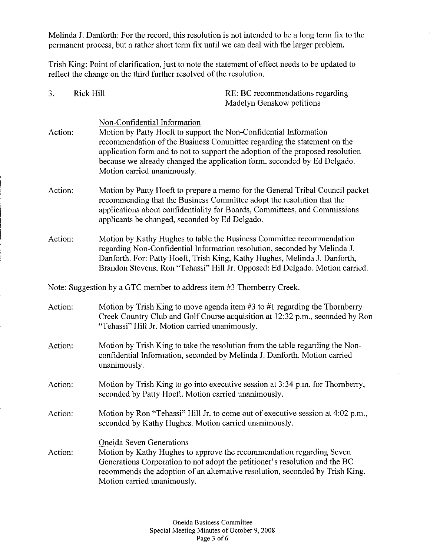Melinda J. Danforth: For the record, this resolution is not intended to be a long term fix to the permanent process, but a rather short term fix until we can deal with the larger problem.

Trish King: Point of clarification, just to note the statement of effect needs to be updated to reflect the change on the third further resolved of the resolution.

| 3.      | <b>Rick Hill</b> | RE: BC recommendations regarding<br>Madelyn Genskow petitions                                                                                                                                                                                                                                                                                                             |
|---------|------------------|---------------------------------------------------------------------------------------------------------------------------------------------------------------------------------------------------------------------------------------------------------------------------------------------------------------------------------------------------------------------------|
| Action: |                  | Non-Confidential Information<br>Motion by Patty Hoeft to support the Non-Confidential Information<br>recommendation of the Business Committee regarding the statement on the<br>application form and to not to support the adoption of the proposed resolution<br>because we already changed the application form, seconded by Ed Delgado.<br>Motion carried unanimously. |
| Action: |                  | Motion by Patty Hoeft to prepare a memo for the General Tribal Council packet<br>recommending that the Business Committee adopt the resolution that the<br>applications about confidentiality for Boards, Committees, and Commissions<br>applicants be changed, seconded by Ed Delgado.                                                                                   |
| Action: |                  | Motion by Kathy Hughes to table the Business Committee recommendation<br>regarding Non-Confidential Information resolution, seconded by Melinda J.<br>Danforth. For: Patty Hoeft, Trish King, Kathy Hughes, Melinda J. Danforth,<br>Brandon Stevens, Ron "Tehassi" Hill Jr. Opposed: Ed Delgado. Motion carried.                                                          |
|         |                  | Note: Suggestion by a GTC member to address item #3 Thornberry Creek.                                                                                                                                                                                                                                                                                                     |
| Action: |                  | Motion by Trish King to move agenda item $#3$ to $#1$ regarding the Thornberry<br>Creek Country Club and Golf Course acquisition at 12:32 p.m., seconded by Ron<br>"Tehassi" Hill Jr. Motion carried unanimously.                                                                                                                                                         |
| Action: |                  | Motion by Trish King to take the resolution from the table regarding the Non-<br>confidential Information, seconded by Melinda J. Danforth. Motion carried<br>unanimously.                                                                                                                                                                                                |
| Action: |                  | Motion by Trish King to go into executive session at 3:34 p.m. for Thornberry,<br>seconded by Patty Hoeft. Motion carried unanimously.                                                                                                                                                                                                                                    |
| Action: |                  | Motion by Ron "Tehassi" Hill Jr. to come out of executive session at 4:02 p.m.,<br>seconded by Kathy Hughes. Motion carried unanimously.                                                                                                                                                                                                                                  |
| Action: |                  | <b>Oneida Seven Generations</b><br>Motion by Kathy Hughes to approve the recommendation regarding Seven<br>Generations Corporation to not adopt the petitioner's resolution and the BC<br>recommends the adoption of an alternative resolution, seconded by Trish King.<br>Motion carried unanimously.                                                                    |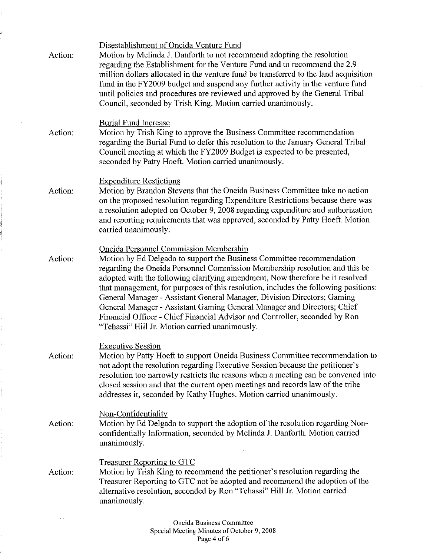| Action: | Disestablishment of Oneida Venture Fund<br>Motion by Melinda J. Danforth to not recommend adopting the resolution<br>regarding the Establishment for the Venture Fund and to recommend the 2.9<br>million dollars allocated in the venture fund be transferred to the land acquisition<br>fund in the FY2009 budget and suspend any further activity in the venture fund<br>until policies and procedures are reviewed and approved by the General Tribal<br>Council, seconded by Trish King. Motion carried unanimously.                                                                                                                                            |
|---------|----------------------------------------------------------------------------------------------------------------------------------------------------------------------------------------------------------------------------------------------------------------------------------------------------------------------------------------------------------------------------------------------------------------------------------------------------------------------------------------------------------------------------------------------------------------------------------------------------------------------------------------------------------------------|
| Action: | <b>Burial Fund Increase</b><br>Motion by Trish King to approve the Business Committee recommendation<br>regarding the Burial Fund to defer this resolution to the January General Tribal<br>Council meeting at which the FY2009 Budget is expected to be presented,<br>seconded by Patty Hoeft. Motion carried unanimously.                                                                                                                                                                                                                                                                                                                                          |
| Action: | <b>Expenditure Restictions</b><br>Motion by Brandon Stevens that the Oneida Business Committee take no action<br>on the proposed resolution regarding Expenditure Restrictions because there was<br>a resolution adopted on October 9, 2008 regarding expenditure and authorization<br>and reporting requirements that was approved, seconded by Patty Hoeft. Motion<br>carried unanimously.                                                                                                                                                                                                                                                                         |
| Action: | <b>Oneida Personnel Commission Membership</b><br>Motion by Ed Delgado to support the Business Committee recommendation<br>regarding the Oneida Personnel Commission Membership resolution and this be<br>adopted with the following clarifying amendment, Now therefore be it resolved<br>that management, for purposes of this resolution, includes the following positions:<br>General Manager - Assistant General Manager, Division Directors; Gaming<br>General Manager - Assistant Gaming General Manager and Directors; Chief<br>Financial Officer - Chief Financial Advisor and Controller, seconded by Ron<br>"Tehassi" Hill Jr. Motion carried unanimously. |
| Action: | <b>Executive Session</b><br>Motion by Patty Hoeft to support Oneida Business Committee recommendation to<br>not adopt the resolution regarding Executive Session because the petitioner's<br>resolution too narrowly restricts the reasons when a meeting can be convened into<br>closed session and that the current open meetings and records law of the tribe<br>addresses it, seconded by Kathy Hughes. Motion carried unanimously.                                                                                                                                                                                                                              |
| Action: | Non-Confidentiality<br>Motion by Ed Delgado to support the adoption of the resolution regarding Non-<br>confidentially Information, seconded by Melinda J. Danforth. Motion carried<br>unanimously.                                                                                                                                                                                                                                                                                                                                                                                                                                                                  |
| Action: | Treasurer Reporting to GTC<br>Motion by Trish King to recommend the petitioner's resolution regarding the<br>Treasurer Reporting to GTC not be adopted and recommend the adoption of the<br>alternative resolution, seconded by Ron "Tehassi" Hill Jr. Motion carried<br>unanimously.                                                                                                                                                                                                                                                                                                                                                                                |
|         | Oneida Business Committee                                                                                                                                                                                                                                                                                                                                                                                                                                                                                                                                                                                                                                            |

 $\ddot{\phantom{a}}$ 

ł

t,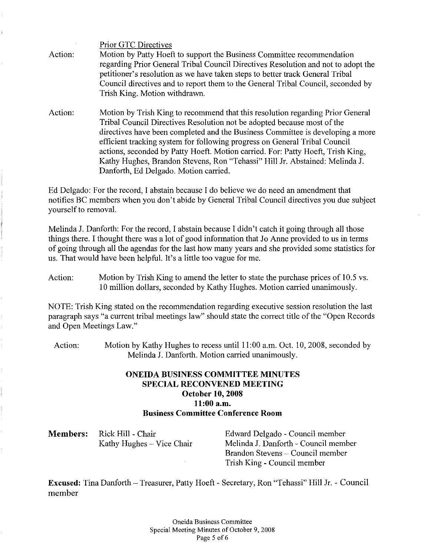Action: Prior GTC Directives Motion by Patty Hoeft to support the Business Committee recommendation regarding Prior General Tribal Council Directives Resolution and not to adopt the petitioner's resolution as we have taken steps to better track General Tribal Council directives and to report them to the General Tribal Council, seconded by Trish King. Motion withdrawn.

Action: Motion by Trish King to recommend that this resolution regarding Prior General Tribal Council Directives Resolution not be adopted because most of the directives have been completed and the Business Committee is developing a more efficient tracking system for following progress on General Tribal Council actions, seconded by Patty Hoeft. Motion carried. For: Patty Hoeft, Trish King, Kathy Hughes, Brandon Stevens, Ron "Tehassi" Hill Jr. Abstained: Melinda J. Danforth, Ed Delgado. Motion carried.

Ed Delgado: For the record, I abstain because I do believe we do need an amendment that notifies BC members when you don't abide by General Tribal Council directives you due subject yourself to removal.

Melinda J. Danforth: For the record, I abstain because I didn't catch it going through all those things there. I thought there was a lot of good information that Jo Anne provided to us in terms of going through all the agendas for the last how many years and she provided some statistics for us. That would have been helpful. It's a little too vague for me.

Action: Motion by Trish King to amend the letter to state the purchase prices of 10.5 vs. 10 million dollars, seconded by Kathy Hughes. Motion carried unanimously.

NOTE: Trish King stated on the recommendation regarding executive session resolution the last paragraph says "a current tribal meetings law" should state the correct title of the "Open Records and Open Meetings Law."

Action: Motion by Kathy Hughes to recess until 11:00 a.m. Oct. 10, 2008, seconded by Melinda J. Danforth. Motion carried unanimously.

## **ONEIDA BUSINESS COMMITTEE MINUTES SPECIAL RECONVENED MEETING October 10, 2008 11:00 a.m. Business Committee Conference Room**

| <b>Members:</b> Rick Hill - Chair | Edward Delgado - Council member      |
|-----------------------------------|--------------------------------------|
| Kathy Hughes – Vice Chair         | Melinda J. Danforth - Council member |
|                                   | Brandon Stevens – Council member     |

**Excused:** Tina Danforth- Treasurer, Patty Hoeft- Secretary, Ron "Tehassi" Hill Jr. - Council member

Trish King - Council member